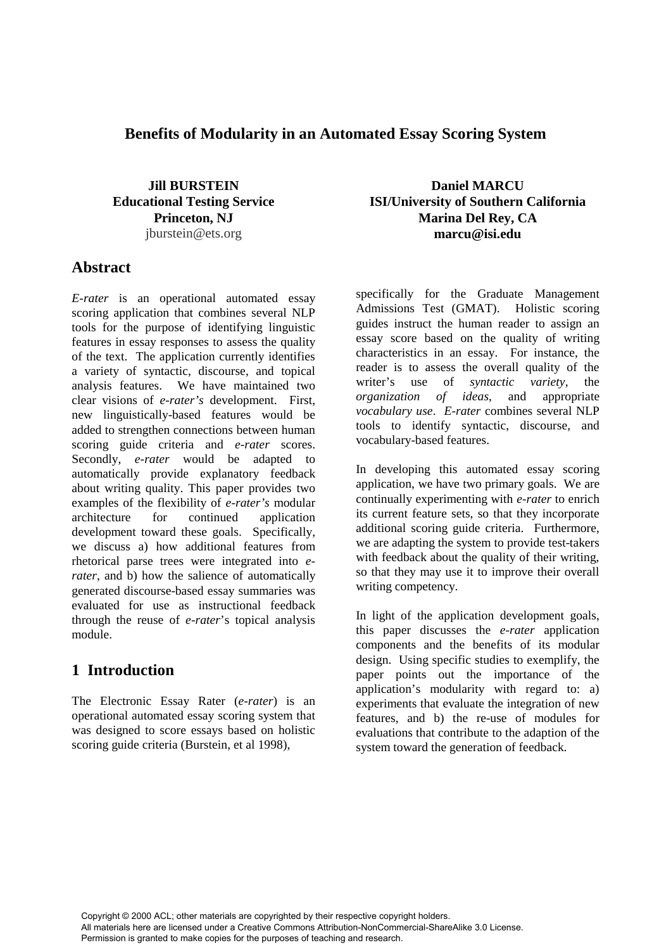#### **Benefits of Modularity in an Automated Essay Scoring System**

**Jill BURSTEIN Educational Testing Service Princeton, NJ** jburstein@ets.org

#### **Abstract**

*E-rater* is an operational automated essay scoring application that combines several NLP tools for the purpose of identifying linguistic features in essay responses to assess the quality of the text. The application currently identifies a variety of syntactic, discourse, and topical analysis features. We have maintained two clear visions of *e-rater's* development. First, new linguistically-based features would be added to strengthen connections between human scoring guide criteria and *e-rater* scores. Secondly, *e-rater* would be adapted to automatically provide explanatory feedback about writing quality. This paper provides two examples of the flexibility of *e-rater's* modular architecture for continued application development toward these goals. Specifically, we discuss a) how additional features from rhetorical parse trees were integrated into *erater*, and b) how the salience of automatically generated discourse-based essay summaries was evaluated for use as instructional feedback through the reuse of *e-rater*'s topical analysis module.

#### **1 Introduction**

The Electronic Essay Rater (*e-rater*) is an operational automated essay scoring system that was designed to score essays based on holistic scoring guide criteria (Burstein, et al 1998),

**Daniel MARCU ISI/University of Southern California Marina Del Rey, CA marcu@isi.edu**

specifically for the Graduate Management Admissions Test (GMAT). Holistic scoring guides instruct the human reader to assign an essay score based on the quality of writing characteristics in an essay. For instance, the reader is to assess the overall quality of the writer's use of *syntactic variety*. the writer's use of *syntactic variety*, the *organization of ideas*, and appropriate *vocabulary use*. *E-rater* combines several NLP tools to identify syntactic, discourse, and vocabulary-based features.

In developing this automated essay scoring application, we have two primary goals. We are continually experimenting with *e-rater* to enrich its current feature sets, so that they incorporate additional scoring guide criteria. Furthermore, we are adapting the system to provide test-takers with feedback about the quality of their writing, so that they may use it to improve their overall writing competency.

In light of the application development goals, this paper discusses the *e-rater* application components and the benefits of its modular design. Using specific studies to exemplify, the paper points out the importance of the application's modularity with regard to: a) experiments that evaluate the integration of new features, and b) the re-use of modules for evaluations that contribute to the adaption of the system toward the generation of feedback.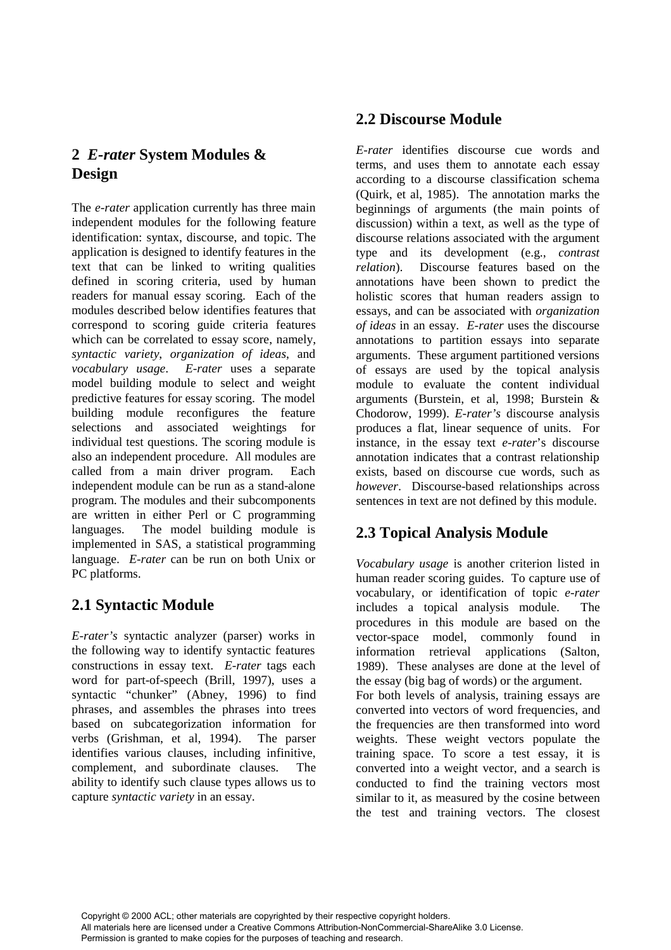#### **2** *E-rater* **System Modules & Design**

The *e-rater* application currently has three main independent modules for the following feature identification: syntax, discourse, and topic. The application is designed to identify features in the text that can be linked to writing qualities defined in scoring criteria, used by human readers for manual essay scoring. Each of the modules described below identifies features that correspond to scoring guide criteria features which can be correlated to essay score, namely, *syntactic variety*, *organization of ideas*, and *vocabulary usage*. *E-rater* uses a separate model building module to select and weight predictive features for essay scoring. The model building module reconfigures the feature selections and associated weightings for individual test questions. The scoring module is also an independent procedure. All modules are called from a main driver program. Each independent module can be run as a stand-alone program. The modules and their subcomponents are written in either Perl or C programming languages. The model building module is implemented in SAS, a statistical programming language. *E-rater* can be run on both Unix or PC platforms.

## **2.1 Syntactic Module**

*E-rater's* syntactic analyzer (parser) works in the following way to identify syntactic features constructions in essay text. *E-rater* tags each word for part-of-speech (Brill, 1997), uses a syntactic "chunker" (Abney, 1996) to find phrases, and assembles the phrases into trees based on subcategorization information for verbs (Grishman, et al, 1994). The parser identifies various clauses, including infinitive, complement, and subordinate clauses. The ability to identify such clause types allows us to capture *syntactic variety* in an essay.

## **2.2 Discourse Module**

*E-rater* identifies discourse cue words and terms, and uses them to annotate each essay according to a discourse classification schema (Quirk, et al, 1985). The annotation marks the beginnings of arguments (the main points of discussion) within a text, as well as the type of discourse relations associated with the argument type and its development (e.g., *contrast relation*). Discourse features based on the annotations have been shown to predict the holistic scores that human readers assign to essays, and can be associated with *organization of ideas* in an essay. *E-rater* uses the discourse annotations to partition essays into separate arguments. These argument partitioned versions of essays are used by the topical analysis module to evaluate the content individual arguments (Burstein, et al, 1998; Burstein & Chodorow, 1999). *E-rater's* discourse analysis produces a flat, linear sequence of units. For instance, in the essay text *e-rater*'s discourse annotation indicates that a contrast relationship exists, based on discourse cue words, such as *however*. Discourse-based relationships across sentences in text are not defined by this module.

# **2.3 Topical Analysis Module**

*Vocabulary usage* is another criterion listed in human reader scoring guides. To capture use of vocabulary, or identification of topic *e-rater* includes a topical analysis module. The procedures in this module are based on the vector-space model, commonly found in information retrieval applications (Salton, 1989). These analyses are done at the level of the essay (big bag of words) or the argument. For both levels of analysis, training essays are converted into vectors of word frequencies, and the frequencies are then transformed into word weights. These weight vectors populate the training space. To score a test essay, it is converted into a weight vector, and a search is conducted to find the training vectors most similar to it, as measured by the cosine between the test and training vectors. The closest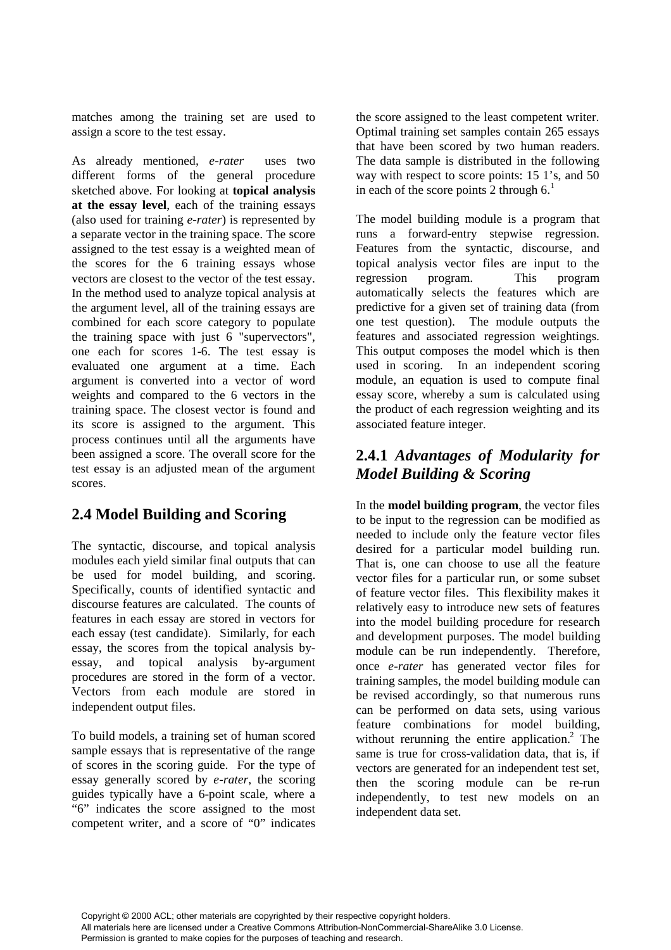matches among the training set are used to assign a score to the test essay.

As already mentioned*, e-rater* uses two different forms of the general procedure sketched above. For looking at **topical analysis at the essay level**, each of the training essays (also used for training *e-rater*) is represented by a separate vector in the training space. The score assigned to the test essay is a weighted mean of the scores for the 6 training essays whose vectors are closest to the vector of the test essay. In the method used to analyze topical analysis at the argument level, all of the training essays are combined for each score category to populate the training space with just 6 "supervectors", one each for scores 1-6. The test essay is evaluated one argument at a time. Each argument is converted into a vector of word weights and compared to the 6 vectors in the training space. The closest vector is found and its score is assigned to the argument. This process continues until all the arguments have been assigned a score. The overall score for the test essay is an adjusted mean of the argument scores.

## **2.4 Model Building and Scoring**

The syntactic, discourse, and topical analysis modules each yield similar final outputs that can be used for model building, and scoring. Specifically, counts of identified syntactic and discourse features are calculated. The counts of features in each essay are stored in vectors for each essay (test candidate). Similarly, for each essay, the scores from the topical analysis byessay, and topical analysis by-argument procedures are stored in the form of a vector. Vectors from each module are stored in independent output files.

To build models, a training set of human scored sample essays that is representative of the range of scores in the scoring guide. For the type of essay generally scored by *e-rater*, the scoring guides typically have a 6-point scale, where a "6" indicates the score assigned to the most competent writer, and a score of "0" indicates the score assigned to the least competent writer. Optimal training set samples contain 265 essays that have been scored by two human readers. The data sample is distributed in the following way with respect to score points: 15 1's, and 50 in each of the score points  $2$  through  $6<sup>1</sup>$ .

The model building module is a program that runs a forward-entry stepwise regression. Features from the syntactic, discourse, and topical analysis vector files are input to the regression program. This program automatically selects the features which are predictive for a given set of training data (from one test question). The module outputs the features and associated regression weightings. This output composes the model which is then used in scoring. In an independent scoring module, an equation is used to compute final essay score, whereby a sum is calculated using the product of each regression weighting and its associated feature integer.

#### **2.4.1** *Advantages of Modularity for Model Building & Scoring*

In the **model building program**, the vector files to be input to the regression can be modified as needed to include only the feature vector files desired for a particular model building run. That is, one can choose to use all the feature vector files for a particular run, or some subset of feature vector files. This flexibility makes it relatively easy to introduce new sets of features into the model building procedure for research and development purposes. The model building module can be run independently. Therefore, once *e-rater* has generated vector files for training samples, the model building module can be revised accordingly, so that numerous runs can be performed on data sets, using various feature combinations for model building, without rerunning the entire application.<sup>2</sup> The same is true for cross-validation data, that is, if vectors are generated for an independent test set, then the scoring module can be re-run independently, to test new models on an independent data set.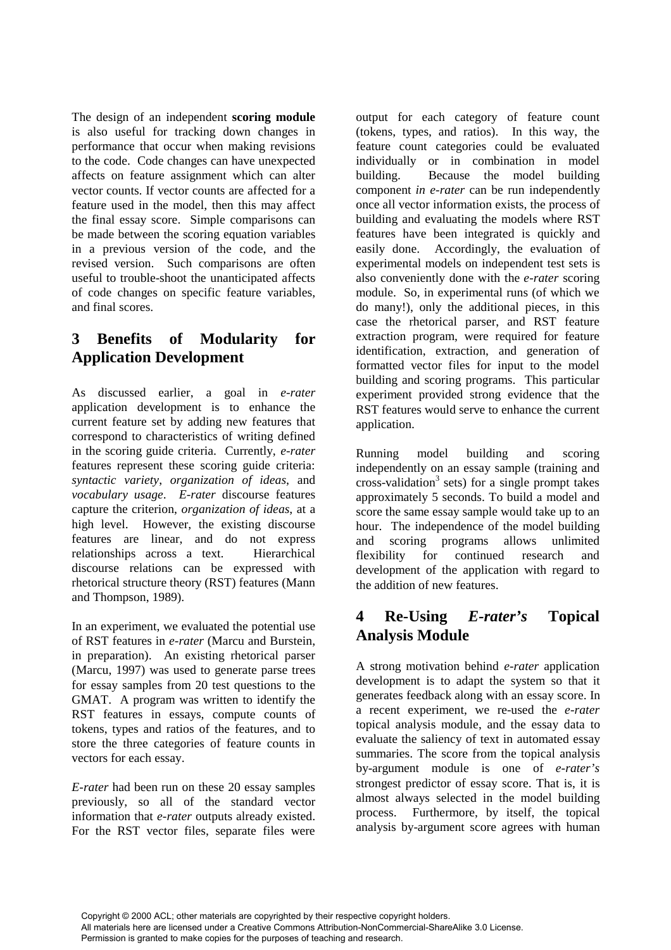The design of an independent **scoring module** is also useful for tracking down changes in performance that occur when making revisions to the code. Code changes can have unexpected affects on feature assignment which can alter vector counts. If vector counts are affected for a feature used in the model, then this may affect the final essay score. Simple comparisons can be made between the scoring equation variables in a previous version of the code, and the revised version. Such comparisons are often useful to trouble-shoot the unanticipated affects of code changes on specific feature variables, and final scores.

## **3 Benefits of Modularity for Application Development**

As discussed earlier, a goal in *e-rater* application development is to enhance the current feature set by adding new features that correspond to characteristics of writing defined in the scoring guide criteria. Currently, *e-rater* features represent these scoring guide criteria: *syntactic variety*, *organization of ideas*, and *vocabulary usage*. *E-rater* discourse features capture the criterion, *organization of ideas*, at a high level. However, the existing discourse features are linear, and do not express relationships across a text. Hierarchical discourse relations can be expressed with rhetorical structure theory (RST) features (Mann and Thompson, 1989).

In an experiment, we evaluated the potential use of RST features in *e-rater* (Marcu and Burstein, in preparation). An existing rhetorical parser (Marcu, 1997) was used to generate parse trees for essay samples from 20 test questions to the GMAT. A program was written to identify the RST features in essays, compute counts of tokens, types and ratios of the features, and to store the three categories of feature counts in vectors for each essay.

*E-rater* had been run on these 20 essay samples previously, so all of the standard vector information that *e-rater* outputs already existed. For the RST vector files, separate files were output for each category of feature count (tokens, types, and ratios). In this way, the feature count categories could be evaluated individually or in combination in model building. Because the model building component *in e-rater* can be run independently once all vector information exists, the process of building and evaluating the models where RST features have been integrated is quickly and easily done. Accordingly, the evaluation of experimental models on independent test sets is also conveniently done with the *e-rater* scoring module. So, in experimental runs (of which we do many!), only the additional pieces, in this case the rhetorical parser, and RST feature extraction program, were required for feature identification, extraction, and generation of formatted vector files for input to the model building and scoring programs. This particular experiment provided strong evidence that the RST features would serve to enhance the current application.

Running model building and scoring independently on an essay sample (training and cross-validation<sup>3</sup> sets) for a single prompt takes approximately 5 seconds. To build a model and score the same essay sample would take up to an hour. The independence of the model building and scoring programs allows unlimited flexibility for continued research and development of the application with regard to the addition of new features.

## **4 Re-Using** *E-rater's* **Topical Analysis Module**

A strong motivation behind *e-rater* application development is to adapt the system so that it generates feedback along with an essay score. In a recent experiment, we re-used the *e-rater* topical analysis module, and the essay data to evaluate the saliency of text in automated essay summaries. The score from the topical analysis by-argument module is one of *e-rater's* strongest predictor of essay score. That is, it is almost always selected in the model building process. Furthermore, by itself, the topical analysis by-argument score agrees with human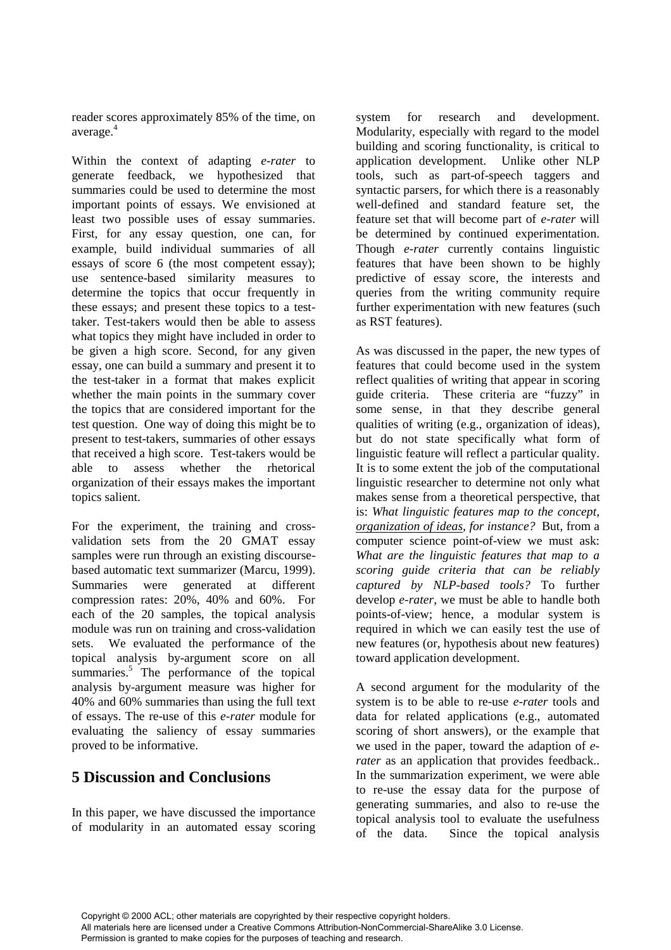reader scores approximately 85% of the time, on average.<sup>4</sup>

Within the context of adapting *e-rater* to generate feedback, we hypothesized that summaries could be used to determine the most important points of essays. We envisioned at least two possible uses of essay summaries. First, for any essay question, one can, for example, build individual summaries of all essays of score 6 (the most competent essay); use sentence-based similarity measures to determine the topics that occur frequently in these essays; and present these topics to a testtaker. Test-takers would then be able to assess what topics they might have included in order to be given a high score. Second, for any given essay, one can build a summary and present it to the test-taker in a format that makes explicit whether the main points in the summary cover the topics that are considered important for the test question. One way of doing this might be to present to test-takers, summaries of other essays that received a high score. Test-takers would be able to assess whether the rhetorical organization of their essays makes the important topics salient.

For the experiment, the training and crossvalidation sets from the 20 GMAT essay samples were run through an existing discoursebased automatic text summarizer (Marcu, 1999). Summaries were generated at different compression rates: 20%, 40% and 60%. For each of the 20 samples, the topical analysis module was run on training and cross-validation sets. We evaluated the performance of the topical analysis by-argument score on all summaries.<sup>5</sup> The performance of the topical analysis by-argument measure was higher for 40% and 60% summaries than using the full text of essays. The re-use of this *e-rater* module for evaluating the saliency of essay summaries proved to be informative.

## **5 Discussion and Conclusions**

In this paper, we have discussed the importance of modularity in an automated essay scoring

system for research and development. Modularity, especially with regard to the model building and scoring functionality, is critical to application development. Unlike other NLP tools, such as part-of-speech taggers and syntactic parsers, for which there is a reasonably well-defined and standard feature set, the feature set that will become part of *e-rater* will be determined by continued experimentation. Though *e-rater* currently contains linguistic features that have been shown to be highly predictive of essay score, the interests and queries from the writing community require further experimentation with new features (such as RST features).

As was discussed in the paper, the new types of features that could become used in the system reflect qualities of writing that appear in scoring guide criteria. These criteria are "fuzzy" in some sense, in that they describe general qualities of writing (e.g., organization of ideas), but do not state specifically what form of linguistic feature will reflect a particular quality. It is to some extent the job of the computational linguistic researcher to determine not only what makes sense from a theoretical perspective, that is: *What linguistic features map to the concept, organization of ideas, for instance?* But, from a computer science point-of-view we must ask: *What are the linguistic features that map to a scoring guide criteria that can be reliably captured by NLP-based tools?* To further develop *e-rater*, we must be able to handle both points-of-view; hence, a modular system is required in which we can easily test the use of new features (or, hypothesis about new features) toward application development.

A second argument for the modularity of the system is to be able to re-use *e-rater* tools and data for related applications (e.g., automated scoring of short answers), or the example that we used in the paper, toward the adaption of *erater* as an application that provides feedback.. In the summarization experiment, we were able to re-use the essay data for the purpose of generating summaries, and also to re-use the topical analysis tool to evaluate the usefulness of the data. Since the topical analysis